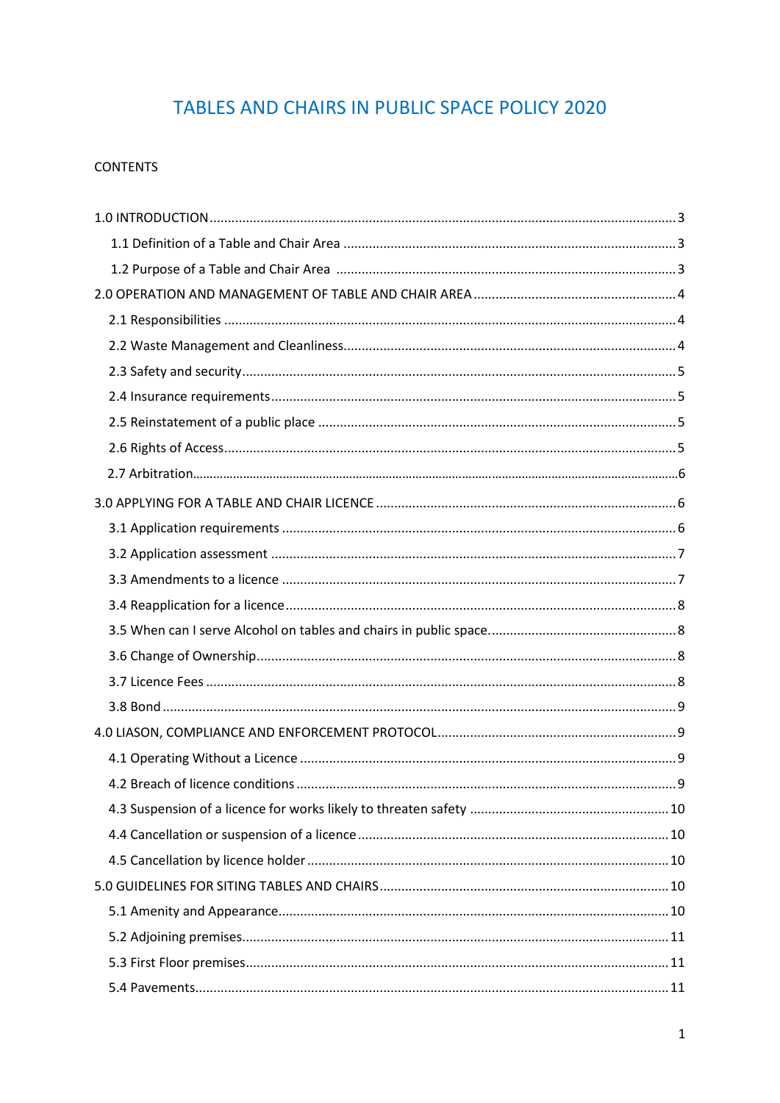# TABLES AND CHAIRS IN PUBLIC SPACE POLICY 2020

## **CONTENTS**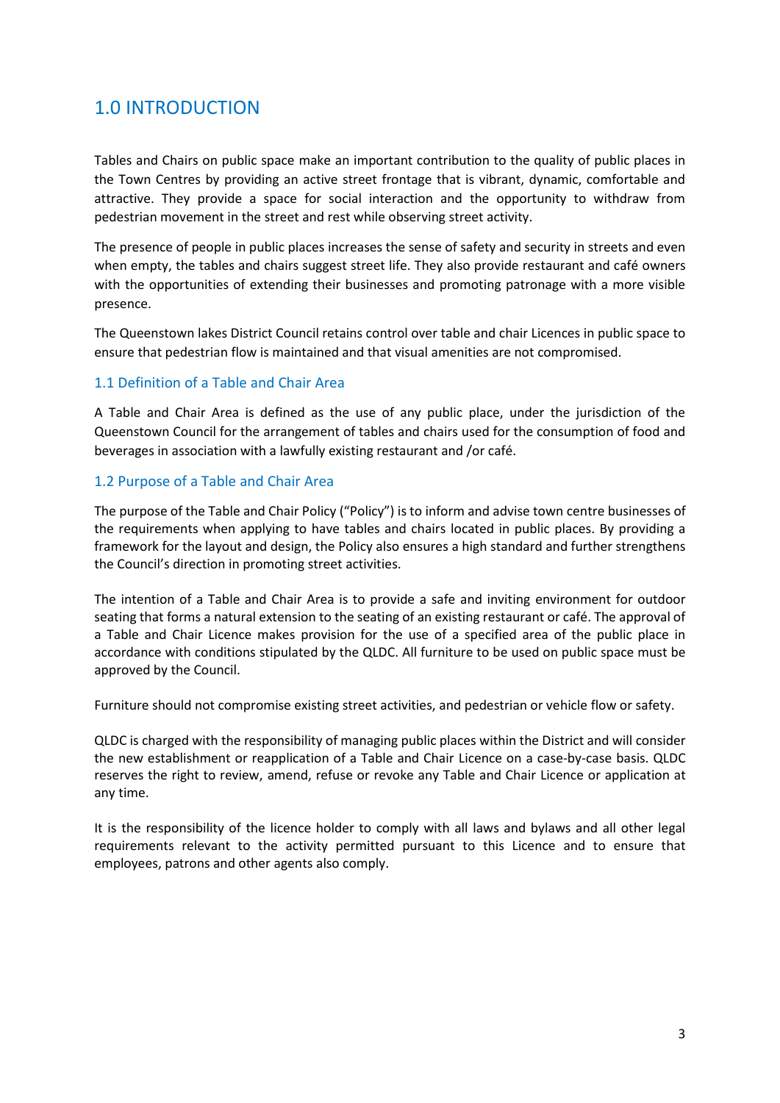## 1.0 INTRODUCTION

Tables and Chairs on public space make an important contribution to the quality of public places in the Town Centres by providing an active street frontage that is vibrant, dynamic, comfortable and attractive. They provide a space for social interaction and the opportunity to withdraw from pedestrian movement in the street and rest while observing street activity.

The presence of people in public places increases the sense of safety and security in streets and even when empty, the tables and chairs suggest street life. They also provide restaurant and café owners with the opportunities of extending their businesses and promoting patronage with a more visible presence.

The Queenstown lakes District Council retains control over table and chair Licences in public space to ensure that pedestrian flow is maintained and that visual amenities are not compromised.

#### 1.1 Definition of a Table and Chair Area

A Table and Chair Area is defined as the use of any public place, under the jurisdiction of the Queenstown Council for the arrangement of tables and chairs used for the consumption of food and beverages in association with a lawfully existing restaurant and /or café.

#### 1.2 Purpose of a Table and Chair Area

The purpose of the Table and Chair Policy ("Policy") is to inform and advise town centre businesses of the requirements when applying to have tables and chairs located in public places. By providing a framework for the layout and design, the Policy also ensures a high standard and further strengthens the Council's direction in promoting street activities.

The intention of a Table and Chair Area is to provide a safe and inviting environment for outdoor seating that forms a natural extension to the seating of an existing restaurant or café. The approval of a Table and Chair Licence makes provision for the use of a specified area of the public place in accordance with conditions stipulated by the QLDC. All furniture to be used on public space must be approved by the Council.

Furniture should not compromise existing street activities, and pedestrian or vehicle flow or safety.

QLDC is charged with the responsibility of managing public places within the District and will consider the new establishment or reapplication of a Table and Chair Licence on a case-by-case basis. QLDC reserves the right to review, amend, refuse or revoke any Table and Chair Licence or application at any time.

It is the responsibility of the licence holder to comply with all laws and bylaws and all other legal requirements relevant to the activity permitted pursuant to this Licence and to ensure that employees, patrons and other agents also comply.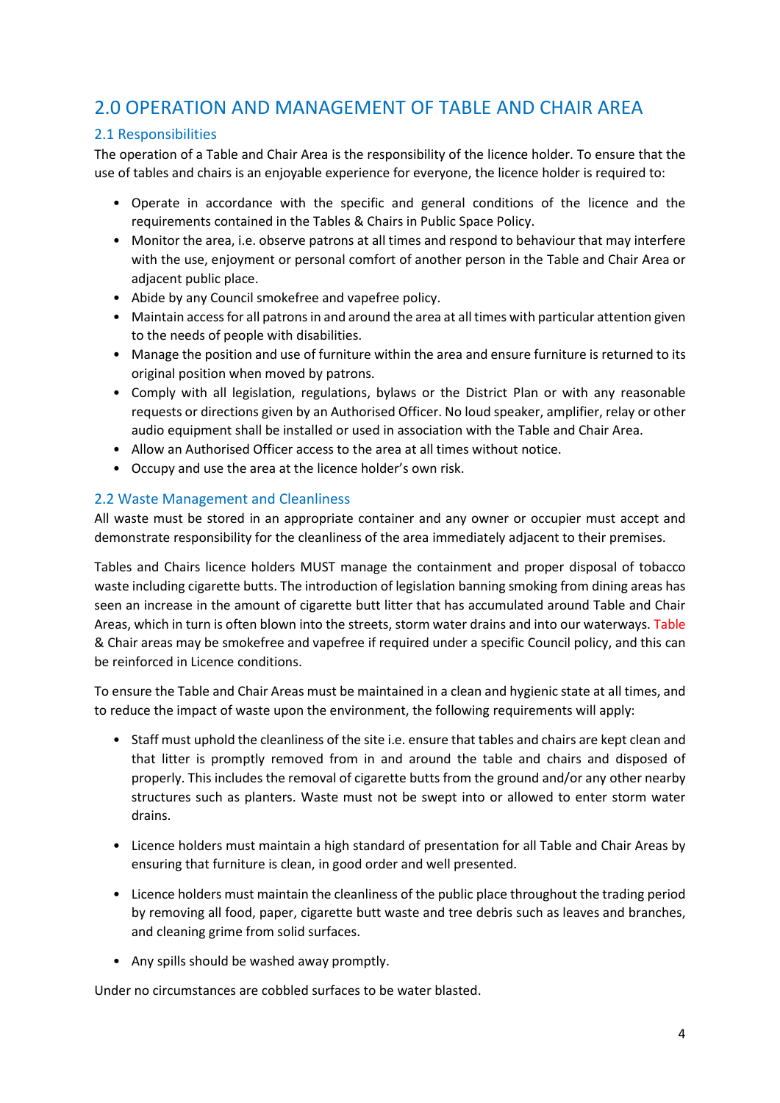## <span id="page-3-0"></span>2.0 OPERATION AND MANAGEMENT OF TABLE AND CHAIR AREA

### <span id="page-3-1"></span>2.1 Responsibilities

The operation of a Table and Chair Area is the responsibility of the licence holder. To ensure that the use of tables and chairs is an enjoyable experience for everyone, the licence holder is required to:

- Operate in accordance with the specific and general conditions of the licence and the requirements contained in the Tables & Chairs in Public Space Policy.
- Monitor the area, i.e. observe patrons at all times and respond to behaviour that may interfere with the use, enjoyment or personal comfort of another person in the Table and Chair Area or adjacent public place.
- Abide by any Council smokefree and vapefree policy.
- Maintain access for all patrons in and around the area at all times with particular attention given to the needs of people with disabilities.
- Manage the position and use of furniture within the area and ensure furniture is returned to its original position when moved by patrons.
- Comply with all legislation, regulations, bylaws or the District Plan or with any reasonable requests or directions given by an Authorised Officer. No loud speaker, amplifier, relay or other audio equipment shall be installed or used in association with the Table and Chair Area.
- Allow an Authorised Officer access to the area at all times without notice.
- Occupy and use the area at the licence holder's own risk.

## <span id="page-3-2"></span>2.2 Waste Management and Cleanliness

All waste must be stored in an appropriate container and any owner or occupier must accept and demonstrate responsibility for the cleanliness of the area immediately adjacent to their premises.

Tables and Chairs licence holders MUST manage the containment and proper disposal of tobacco waste including cigarette butts. The introduction of legislation banning smoking from dining areas has seen an increase in the amount of cigarette butt litter that has accumulated around Table and Chair Areas, which in turn is often blown into the streets, storm water drains and into our waterways. Table & Chair areas may be smokefree and vapefree if required under a specific Council policy, and this can be reinforced in Licence conditions.

To ensure the Table and Chair Areas must be maintained in a clean and hygienic state at all times, and to reduce the impact of waste upon the environment, the following requirements will apply:

- Staff must uphold the cleanliness of the site i.e. ensure that tables and chairs are kept clean and that litter is promptly removed from in and around the table and chairs and disposed of properly. This includes the removal of cigarette butts from the ground and/or any other nearby structures such as planters. Waste must not be swept into or allowed to enter storm water drains.
- Licence holders must maintain a high standard of presentation for all Table and Chair Areas by ensuring that furniture is clean, in good order and well presented.
- Licence holders must maintain the cleanliness of the public place throughout the trading period by removing all food, paper, cigarette butt waste and tree debris such as leaves and branches, and cleaning grime from solid surfaces.
- Any spills should be washed away promptly.

Under no circumstances are cobbled surfaces to be water blasted.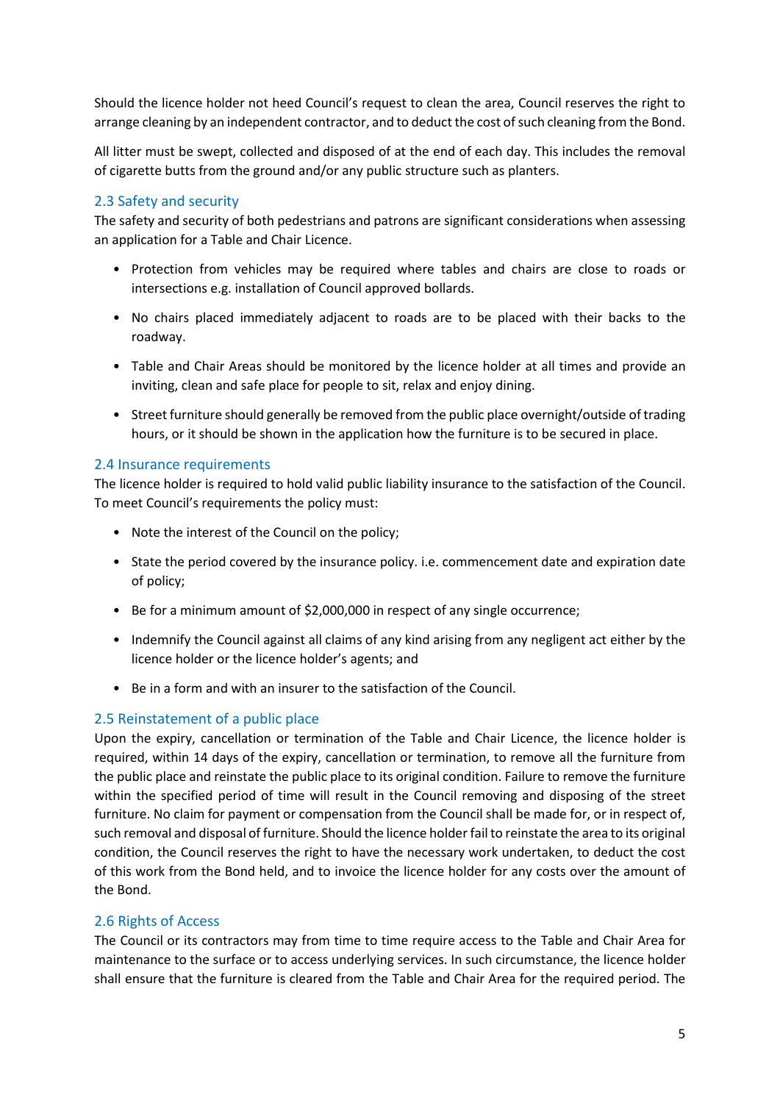Should the licence holder not heed Council's request to clean the area, Council reserves the right to arrange cleaning by an independent contractor, and to deduct the cost of such cleaning from the Bond.

All litter must be swept, collected and disposed of at the end of each day. This includes the removal of cigarette butts from the ground and/or any public structure such as planters.

### <span id="page-4-0"></span>2.3 Safety and security

The safety and security of both pedestrians and patrons are significant considerations when assessing an application for a Table and Chair Licence.

- Protection from vehicles may be required where tables and chairs are close to roads or intersections e.g. installation of Council approved bollards.
- No chairs placed immediately adjacent to roads are to be placed with their backs to the roadway.
- Table and Chair Areas should be monitored by the licence holder at all times and provide an inviting, clean and safe place for people to sit, relax and enjoy dining.
- Street furniture should generally be removed from the public place overnight/outside of trading hours, or it should be shown in the application how the furniture is to be secured in place.

#### <span id="page-4-1"></span>2.4 Insurance requirements

The licence holder is required to hold valid public liability insurance to the satisfaction of the Council. To meet Council's requirements the policy must:

- Note the interest of the Council on the policy;
- State the period covered by the insurance policy. i.e. commencement date and expiration date of policy;
- Be for a minimum amount of \$2,000,000 in respect of any single occurrence;
- Indemnify the Council against all claims of any kind arising from any negligent act either by the licence holder or the licence holder's agents; and
- Be in a form and with an insurer to the satisfaction of the Council.

#### <span id="page-4-2"></span>2.5 Reinstatement of a public place

Upon the expiry, cancellation or termination of the Table and Chair Licence, the licence holder is required, within 14 days of the expiry, cancellation or termination, to remove all the furniture from the public place and reinstate the public place to its original condition. Failure to remove the furniture within the specified period of time will result in the Council removing and disposing of the street furniture. No claim for payment or compensation from the Council shall be made for, or in respect of, such removal and disposal of furniture. Should the licence holder fail to reinstate the area to its original condition, the Council reserves the right to have the necessary work undertaken, to deduct the cost of this work from the Bond held, and to invoice the licence holder for any costs over the amount of the Bond.

#### <span id="page-4-3"></span>2.6 Rights of Access

The Council or its contractors may from time to time require access to the Table and Chair Area for maintenance to the surface or to access underlying services. In such circumstance, the licence holder shall ensure that the furniture is cleared from the Table and Chair Area for the required period. The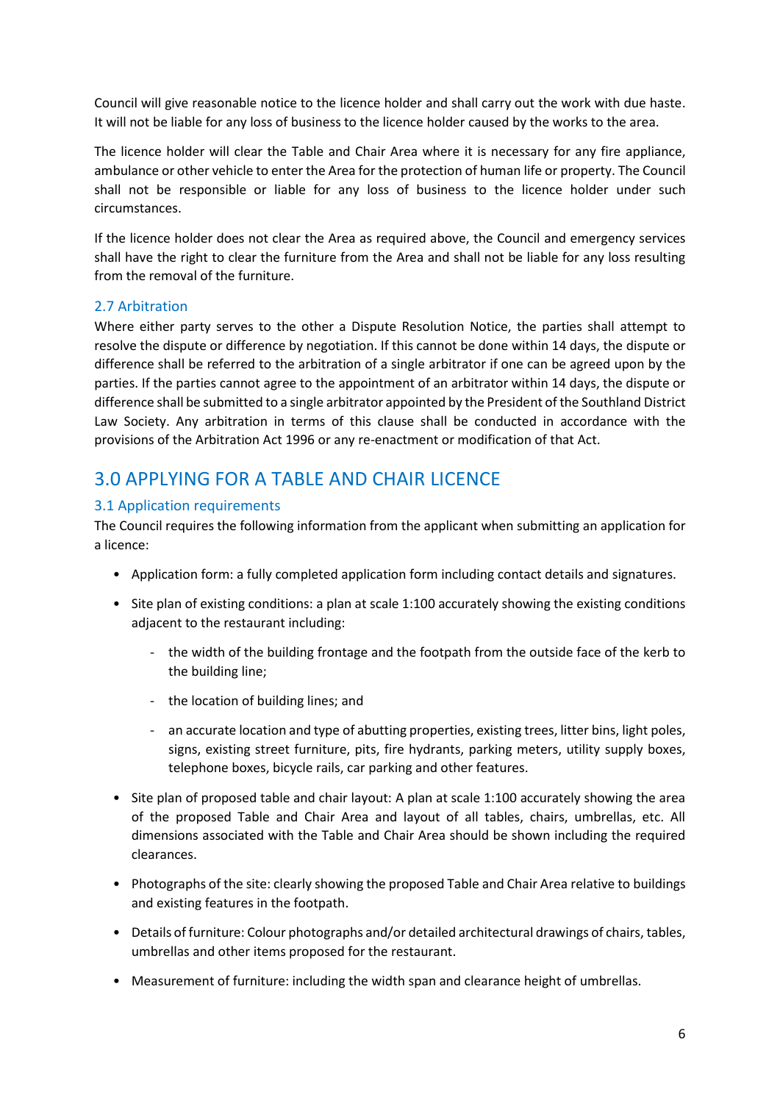Council will give reasonable notice to the licence holder and shall carry out the work with due haste. It will not be liable for any loss of business to the licence holder caused by the works to the area.

The licence holder will clear the Table and Chair Area where it is necessary for any fire appliance, ambulance or other vehicle to enter the Area for the protection of human life or property. The Council shall not be responsible or liable for any loss of business to the licence holder under such circumstances.

If the licence holder does not clear the Area as required above, the Council and emergency services shall have the right to clear the furniture from the Area and shall not be liable for any loss resulting from the removal of the furniture.

## 2.7 Arbitration

Where either party serves to the other a Dispute Resolution Notice, the parties shall attempt to resolve the dispute or difference by negotiation. If this cannot be done within 14 days, the dispute or difference shall be referred to the arbitration of a single arbitrator if one can be agreed upon by the parties. If the parties cannot agree to the appointment of an arbitrator within 14 days, the dispute or difference shall be submitted to a single arbitrator appointed by the President of the Southland District Law Society. Any arbitration in terms of this clause shall be conducted in accordance with the provisions of the Arbitration Act 1996 or any re-enactment or modification of that Act.

## <span id="page-5-0"></span>3.0 APPLYING FOR A TABLE AND CHAIR LICENCE

## <span id="page-5-1"></span>3.1 Application requirements

The Council requires the following information from the applicant when submitting an application for a licence:

- Application form: a fully completed application form including contact details and signatures.
- Site plan of existing conditions: a plan at scale 1:100 accurately showing the existing conditions adjacent to the restaurant including:
	- the width of the building frontage and the footpath from the outside face of the kerb to the building line;
	- the location of building lines; and
	- an accurate location and type of abutting properties, existing trees, litter bins, light poles, signs, existing street furniture, pits, fire hydrants, parking meters, utility supply boxes, telephone boxes, bicycle rails, car parking and other features.
- Site plan of proposed table and chair layout: A plan at scale 1:100 accurately showing the area of the proposed Table and Chair Area and layout of all tables, chairs, umbrellas, etc. All dimensions associated with the Table and Chair Area should be shown including the required clearances.
- Photographs of the site: clearly showing the proposed Table and Chair Area relative to buildings and existing features in the footpath.
- Details of furniture: Colour photographs and/or detailed architectural drawings of chairs, tables, umbrellas and other items proposed for the restaurant.
- Measurement of furniture: including the width span and clearance height of umbrellas.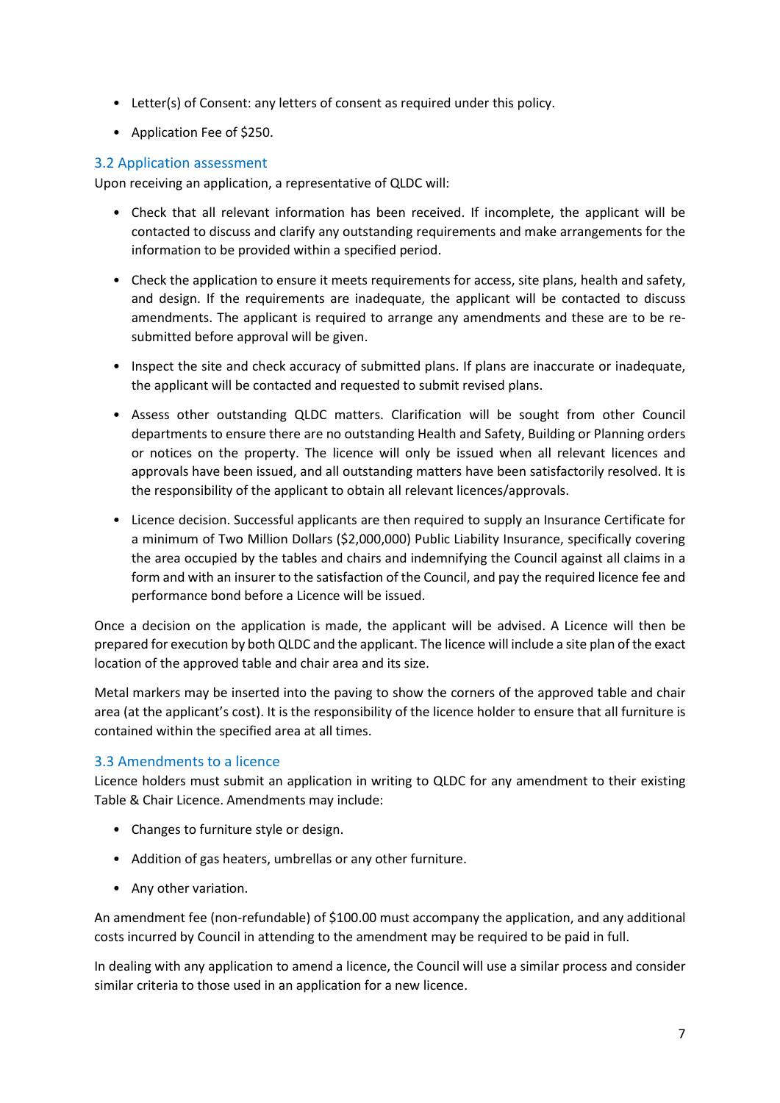- Letter(s) of Consent: any letters of consent as required under this policy.
- Application Fee of \$250.

## <span id="page-6-0"></span>3.2 Application assessment

Upon receiving an application, a representative of QLDC will:

- Check that all relevant information has been received. If incomplete, the applicant will be contacted to discuss and clarify any outstanding requirements and make arrangements for the information to be provided within a specified period.
- Check the application to ensure it meets requirements for access, site plans, health and safety, and design. If the requirements are inadequate, the applicant will be contacted to discuss amendments. The applicant is required to arrange any amendments and these are to be resubmitted before approval will be given.
- Inspect the site and check accuracy of submitted plans. If plans are inaccurate or inadequate, the applicant will be contacted and requested to submit revised plans.
- Assess other outstanding QLDC matters. Clarification will be sought from other Council departments to ensure there are no outstanding Health and Safety, Building or Planning orders or notices on the property. The licence will only be issued when all relevant licences and approvals have been issued, and all outstanding matters have been satisfactorily resolved. It is the responsibility of the applicant to obtain all relevant licences/approvals.
- Licence decision. Successful applicants are then required to supply an Insurance Certificate for a minimum of Two Million Dollars (\$2,000,000) Public Liability Insurance, specifically covering the area occupied by the tables and chairs and indemnifying the Council against all claims in a form and with an insurer to the satisfaction of the Council, and pay the required licence fee and performance bond before a Licence will be issued.

Once a decision on the application is made, the applicant will be advised. A Licence will then be prepared for execution by both QLDC and the applicant. The licence will include a site plan of the exact location of the approved table and chair area and its size.

Metal markers may be inserted into the paving to show the corners of the approved table and chair area (at the applicant's cost). It is the responsibility of the licence holder to ensure that all furniture is contained within the specified area at all times.

## <span id="page-6-1"></span>3.3 Amendments to a licence

Licence holders must submit an application in writing to QLDC for any amendment to their existing Table & Chair Licence. Amendments may include:

- Changes to furniture style or design.
- Addition of gas heaters, umbrellas or any other furniture.
- Any other variation.

An amendment fee (non-refundable) of \$100.00 must accompany the application, and any additional costs incurred by Council in attending to the amendment may be required to be paid in full.

In dealing with any application to amend a licence, the Council will use a similar process and consider similar criteria to those used in an application for a new licence.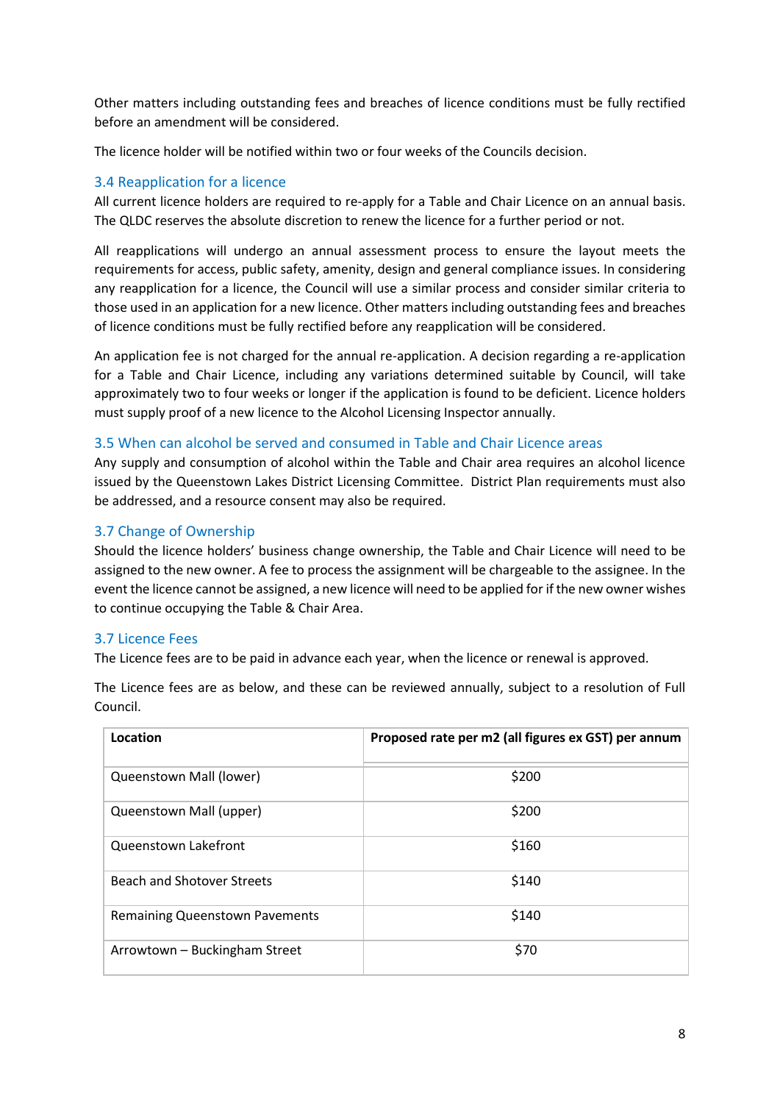Other matters including outstanding fees and breaches of licence conditions must be fully rectified before an amendment will be considered.

The licence holder will be notified within two or four weeks of the Councils decision.

#### <span id="page-7-0"></span>3.4 Reapplication for a licence

All current licence holders are required to re-apply for a Table and Chair Licence on an annual basis. The QLDC reserves the absolute discretion to renew the licence for a further period or not.

All reapplications will undergo an annual assessment process to ensure the layout meets the requirements for access, public safety, amenity, design and general compliance issues. In considering any reapplication for a licence, the Council will use a similar process and consider similar criteria to those used in an application for a new licence. Other matters including outstanding fees and breaches of licence conditions must be fully rectified before any reapplication will be considered.

An application fee is not charged for the annual re-application. A decision regarding a re-application for a Table and Chair Licence, including any variations determined suitable by Council, will take approximately two to four weeks or longer if the application is found to be deficient. Licence holders must supply proof of a new licence to the Alcohol Licensing Inspector annually.

#### <span id="page-7-1"></span>3.5 When can alcohol be served and consumed in Table and Chair Licence areas

<span id="page-7-3"></span>Any supply and consumption of alcohol within the Table and Chair area requires an alcohol licence issued by the Queenstown Lakes District Licensing Committee. District Plan requirements must also be addressed, and a resource consent may also be required.

#### 3.7 Change of Ownership

Should the licence holders' business change ownership, the Table and Chair Licence will need to be assigned to the new owner. A fee to process the assignment will be chargeable to the assignee. In the event the licence cannot be assigned, a new licence will need to be applied for if the new owner wishes to continue occupying the Table & Chair Area.

#### <span id="page-7-2"></span>3.7 Licence Fees

The Licence fees are to be paid in advance each year, when the licence or renewal is approved.

| Location                              | Proposed rate per m2 (all figures ex GST) per annum |
|---------------------------------------|-----------------------------------------------------|
| Queenstown Mall (lower)               | \$200                                               |
| Queenstown Mall (upper)               | \$200                                               |
| Queenstown Lakefront                  | \$160                                               |
| Beach and Shotover Streets            | \$140                                               |
| <b>Remaining Queenstown Pavements</b> | \$140                                               |
| Arrowtown - Buckingham Street         | \$70                                                |

The Licence fees are as below, and these can be reviewed annually, subject to a resolution of Full Council.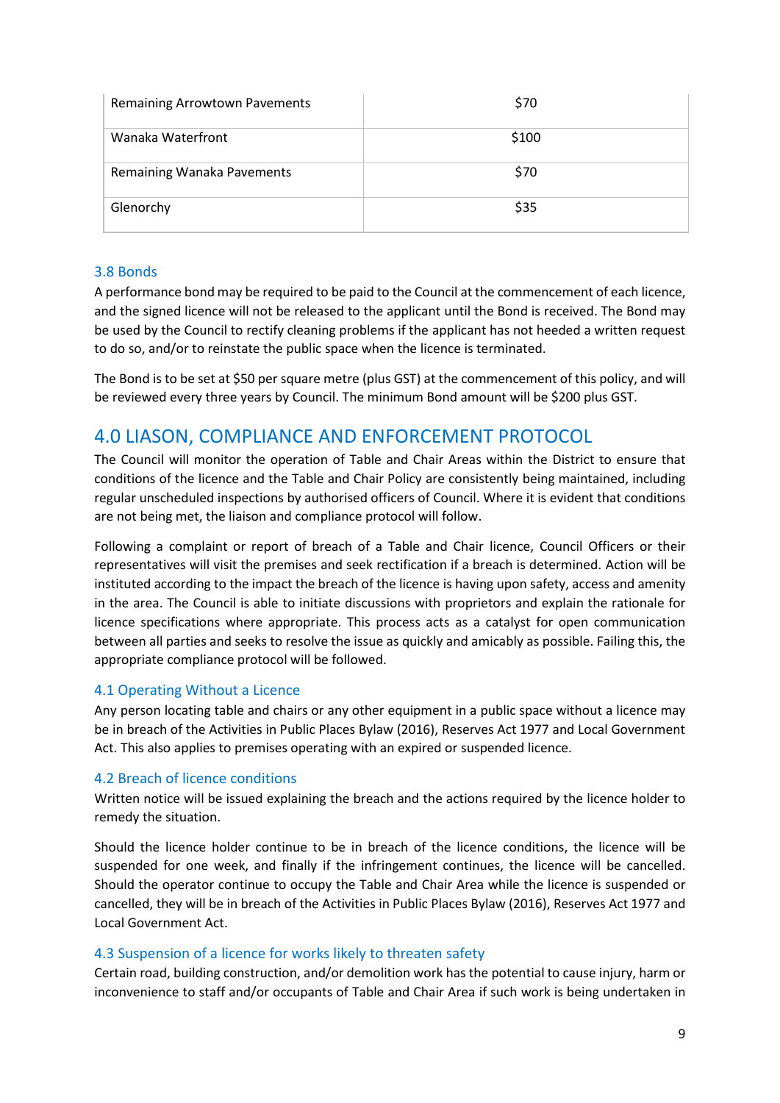| <b>Remaining Arrowtown Pavements</b> | \$70  |
|--------------------------------------|-------|
| Wanaka Waterfront                    | \$100 |
| Remaining Wanaka Pavements           | \$70  |
| Glenorchy                            | \$35  |

### <span id="page-8-0"></span>3.8 Bonds

A performance bond may be required to be paid to the Council at the commencement of each licence, and the signed licence will not be released to the applicant until the Bond is received. The Bond may be used by the Council to rectify cleaning problems if the applicant has not heeded a written request to do so, and/or to reinstate the public space when the licence is terminated.

The Bond is to be set at \$50 per square metre (plus GST) at the commencement of this policy, and will be reviewed every three years by Council. The minimum Bond amount will be \$200 plus GST.

## <span id="page-8-1"></span>4.0 LIASON, COMPLIANCE AND ENFORCEMENT PROTOCOL

The Council will monitor the operation of Table and Chair Areas within the District to ensure that conditions of the licence and the Table and Chair Policy are consistently being maintained, including regular unscheduled inspections by authorised officers of Council. Where it is evident that conditions are not being met, the liaison and compliance protocol will follow.

Following a complaint or report of breach of a Table and Chair licence, Council Officers or their representatives will visit the premises and seek rectification if a breach is determined. Action will be instituted according to the impact the breach of the licence is having upon safety, access and amenity in the area. The Council is able to initiate discussions with proprietors and explain the rationale for licence specifications where appropriate. This process acts as a catalyst for open communication between all parties and seeks to resolve the issue as quickly and amicably as possible. Failing this, the appropriate compliance protocol will be followed.

#### <span id="page-8-2"></span>4.1 Operating Without a Licence

Any person locating table and chairs or any other equipment in a public space without a licence may be in breach of the Activities in Public Places Bylaw (2016), Reserves Act 1977 and Local Government Act. This also applies to premises operating with an expired or suspended licence.

#### <span id="page-8-3"></span>4.2 Breach of licence conditions

Written notice will be issued explaining the breach and the actions required by the licence holder to remedy the situation.

Should the licence holder continue to be in breach of the licence conditions, the licence will be suspended for one week, and finally if the infringement continues, the licence will be cancelled. Should the operator continue to occupy the Table and Chair Area while the licence is suspended or cancelled, they will be in breach of the Activities in Public Places Bylaw (2016), Reserves Act 1977 and Local Government Act.

#### <span id="page-8-4"></span>4.3 Suspension of a licence for works likely to threaten safety

Certain road, building construction, and/or demolition work has the potential to cause injury, harm or inconvenience to staff and/or occupants of Table and Chair Area if such work is being undertaken in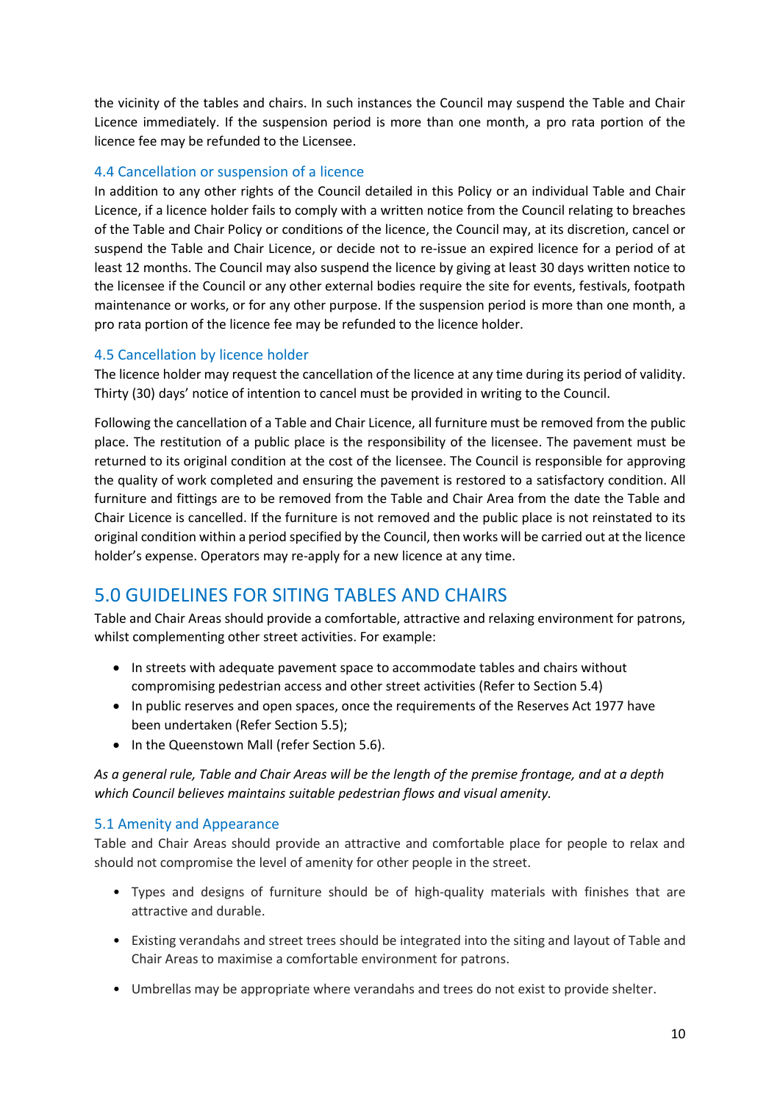the vicinity of the tables and chairs. In such instances the Council may suspend the Table and Chair Licence immediately. If the suspension period is more than one month, a pro rata portion of the licence fee may be refunded to the Licensee.

## <span id="page-9-0"></span>4.4 Cancellation or suspension of a licence

In addition to any other rights of the Council detailed in this Policy or an individual Table and Chair Licence, if a licence holder fails to comply with a written notice from the Council relating to breaches of the Table and Chair Policy or conditions of the licence, the Council may, at its discretion, cancel or suspend the Table and Chair Licence, or decide not to re-issue an expired licence for a period of at least 12 months. The Council may also suspend the licence by giving at least 30 days written notice to the licensee if the Council or any other external bodies require the site for events, festivals, footpath maintenance or works, or for any other purpose. If the suspension period is more than one month, a pro rata portion of the licence fee may be refunded to the licence holder.

## <span id="page-9-1"></span>4.5 Cancellation by licence holder

The licence holder may request the cancellation of the licence at any time during its period of validity. Thirty (30) days' notice of intention to cancel must be provided in writing to the Council.

Following the cancellation of a Table and Chair Licence, all furniture must be removed from the public place. The restitution of a public place is the responsibility of the licensee. The pavement must be returned to its original condition at the cost of the licensee. The Council is responsible for approving the quality of work completed and ensuring the pavement is restored to a satisfactory condition. All furniture and fittings are to be removed from the Table and Chair Area from the date the Table and Chair Licence is cancelled. If the furniture is not removed and the public place is not reinstated to its original condition within a period specified by the Council, then works will be carried out at the licence holder's expense. Operators may re-apply for a new licence at any time.

## <span id="page-9-2"></span>5.0 GUIDELINES FOR SITING TABLES AND CHAIRS

Table and Chair Areas should provide a comfortable, attractive and relaxing environment for patrons, whilst complementing other street activities. For example:

- In streets with adequate pavement space to accommodate tables and chairs without compromising pedestrian access and other street activities (Refer to Section 5.4)
- In public reserves and open spaces, once the requirements of the Reserves Act 1977 have been undertaken (Refer Section 5.5);
- In the Queenstown Mall (refer Section 5.6).

*As a general rule, Table and Chair Areas will be the length of the premise frontage, and at a depth which Council believes maintains suitable pedestrian flows and visual amenity.*

#### <span id="page-9-3"></span>5.1 Amenity and Appearance

Table and Chair Areas should provide an attractive and comfortable place for people to relax and should not compromise the level of amenity for other people in the street.

- Types and designs of furniture should be of high-quality materials with finishes that are attractive and durable.
- Existing verandahs and street trees should be integrated into the siting and layout of Table and Chair Areas to maximise a comfortable environment for patrons.
- Umbrellas may be appropriate where verandahs and trees do not exist to provide shelter.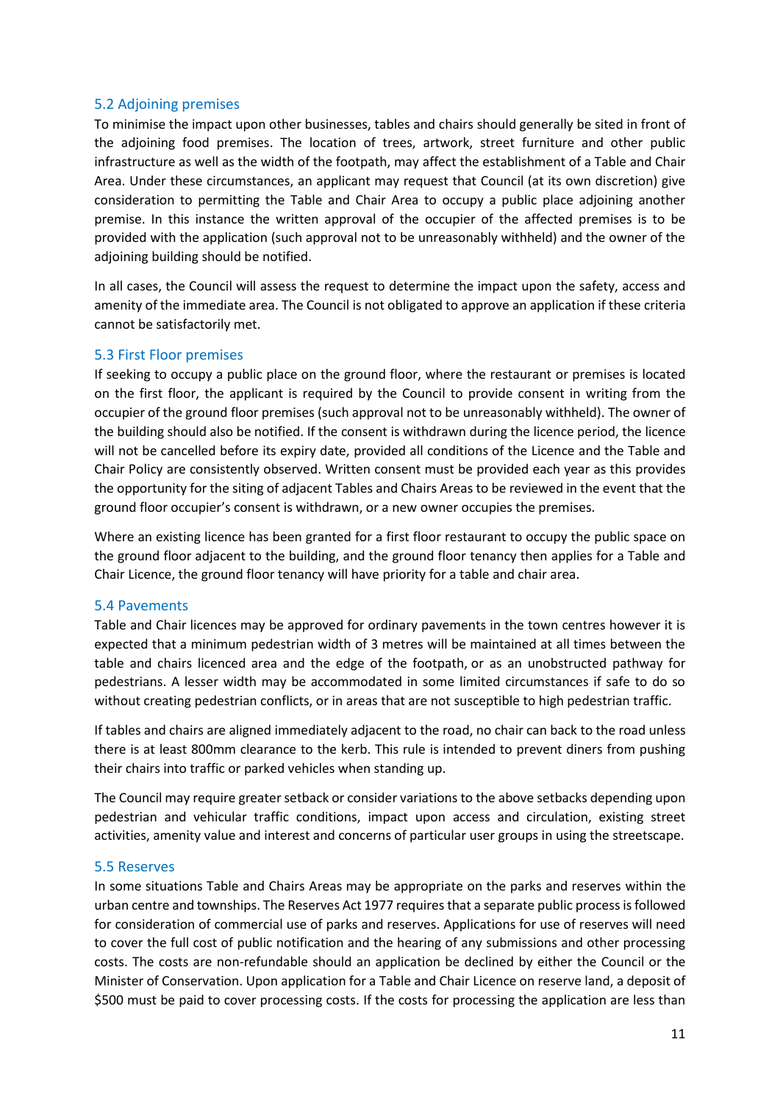#### <span id="page-10-0"></span>5.2 Adjoining premises

To minimise the impact upon other businesses, tables and chairs should generally be sited in front of the adjoining food premises. The location of trees, artwork, street furniture and other public infrastructure as well as the width of the footpath, may affect the establishment of a Table and Chair Area. Under these circumstances, an applicant may request that Council (at its own discretion) give consideration to permitting the Table and Chair Area to occupy a public place adjoining another premise. In this instance the written approval of the occupier of the affected premises is to be provided with the application (such approval not to be unreasonably withheld) and the owner of the adjoining building should be notified.

In all cases, the Council will assess the request to determine the impact upon the safety, access and amenity of the immediate area. The Council is not obligated to approve an application if these criteria cannot be satisfactorily met.

#### <span id="page-10-1"></span>5.3 First Floor premises

If seeking to occupy a public place on the ground floor, where the restaurant or premises is located on the first floor, the applicant is required by the Council to provide consent in writing from the occupier of the ground floor premises (such approval not to be unreasonably withheld). The owner of the building should also be notified. If the consent is withdrawn during the licence period, the licence will not be cancelled before its expiry date, provided all conditions of the Licence and the Table and Chair Policy are consistently observed. Written consent must be provided each year as this provides the opportunity for the siting of adjacent Tables and Chairs Areas to be reviewed in the event that the ground floor occupier's consent is withdrawn, or a new owner occupies the premises.

Where an existing licence has been granted for a first floor restaurant to occupy the public space on the ground floor adjacent to the building, and the ground floor tenancy then applies for a Table and Chair Licence, the ground floor tenancy will have priority for a table and chair area.

#### <span id="page-10-2"></span>5.4 Pavements

Table and Chair licences may be approved for ordinary pavements in the town centres however it is expected that a minimum pedestrian width of 3 metres will be maintained at all times between the table and chairs licenced area and the edge of the footpath, or as an unobstructed pathway for pedestrians. A lesser width may be accommodated in some limited circumstances if safe to do so without creating pedestrian conflicts, or in areas that are not susceptible to high pedestrian traffic.

If tables and chairs are aligned immediately adjacent to the road, no chair can back to the road unless there is at least 800mm clearance to the kerb. This rule is intended to prevent diners from pushing their chairs into traffic or parked vehicles when standing up.

The Council may require greater setback or consider variations to the above setbacks depending upon pedestrian and vehicular traffic conditions, impact upon access and circulation, existing street activities, amenity value and interest and concerns of particular user groups in using the streetscape.

#### <span id="page-10-3"></span>5.5 Reserves

In some situations Table and Chairs Areas may be appropriate on the parks and reserves within the urban centre and townships. The Reserves Act 1977 requires that a separate public process is followed for consideration of commercial use of parks and reserves. Applications for use of reserves will need to cover the full cost of public notification and the hearing of any submissions and other processing costs. The costs are non-refundable should an application be declined by either the Council or the Minister of Conservation. Upon application for a Table and Chair Licence on reserve land, a deposit of \$500 must be paid to cover processing costs. If the costs for processing the application are less than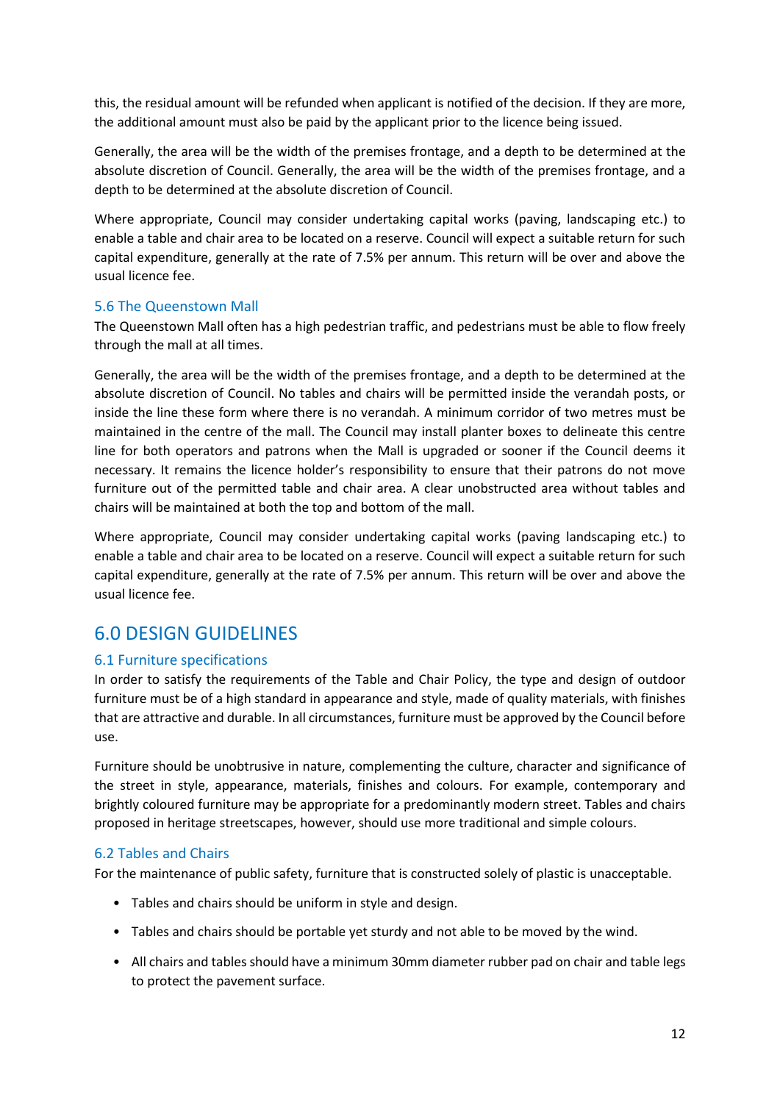this, the residual amount will be refunded when applicant is notified of the decision. If they are more, the additional amount must also be paid by the applicant prior to the licence being issued.

Generally, the area will be the width of the premises frontage, and a depth to be determined at the absolute discretion of Council. Generally, the area will be the width of the premises frontage, and a depth to be determined at the absolute discretion of Council.

Where appropriate, Council may consider undertaking capital works (paving, landscaping etc.) to enable a table and chair area to be located on a reserve. Council will expect a suitable return for such capital expenditure, generally at the rate of 7.5% per annum. This return will be over and above the usual licence fee.

#### 5.6 The Queenstown Mall

The Queenstown Mall often has a high pedestrian traffic, and pedestrians must be able to flow freely through the mall at all times.

Generally, the area will be the width of the premises frontage, and a depth to be determined at the absolute discretion of Council. No tables and chairs will be permitted inside the verandah posts, or inside the line these form where there is no verandah. A minimum corridor of two metres must be maintained in the centre of the mall. The Council may install planter boxes to delineate this centre line for both operators and patrons when the Mall is upgraded or sooner if the Council deems it necessary. It remains the licence holder's responsibility to ensure that their patrons do not move furniture out of the permitted table and chair area. A clear unobstructed area without tables and chairs will be maintained at both the top and bottom of the mall.

Where appropriate, Council may consider undertaking capital works (paving landscaping etc.) to enable a table and chair area to be located on a reserve. Council will expect a suitable return for such capital expenditure, generally at the rate of 7.5% per annum. This return will be over and above the usual licence fee.

## <span id="page-11-0"></span>6.0 DESIGN GUIDELINES

#### <span id="page-11-1"></span>6.1 Furniture specifications

In order to satisfy the requirements of the Table and Chair Policy, the type and design of outdoor furniture must be of a high standard in appearance and style, made of quality materials, with finishes that are attractive and durable. In all circumstances, furniture must be approved by the Council before use.

Furniture should be unobtrusive in nature, complementing the culture, character and significance of the street in style, appearance, materials, finishes and colours. For example, contemporary and brightly coloured furniture may be appropriate for a predominantly modern street. Tables and chairs proposed in heritage streetscapes, however, should use more traditional and simple colours.

#### <span id="page-11-2"></span>6.2 Tables and Chairs

For the maintenance of public safety, furniture that is constructed solely of plastic is unacceptable.

- Tables and chairs should be uniform in style and design.
- Tables and chairs should be portable yet sturdy and not able to be moved by the wind.
- All chairs and tables should have a minimum 30mm diameter rubber pad on chair and table legs to protect the pavement surface.